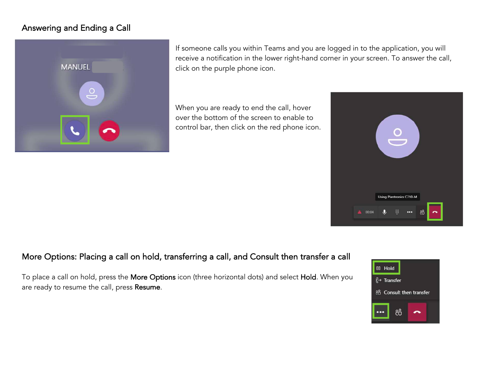## Answering and Ending a Call



If someone calls you within Teams and you are logged in to the application, you will receive a notification in the lower right-hand corner in your screen. To answer the call, click on the purple phone icon.

When you are ready to end the call, hover over the bottom of the screen to enable to control bar, then click on the red phone icon.



## More Options: Placing a call on hold, transferring a call, and Consult then transfer a call

To place a call on hold, press the More Options icon (three horizontal dots) and select Hold. When you are ready to resume the call, press Resume.